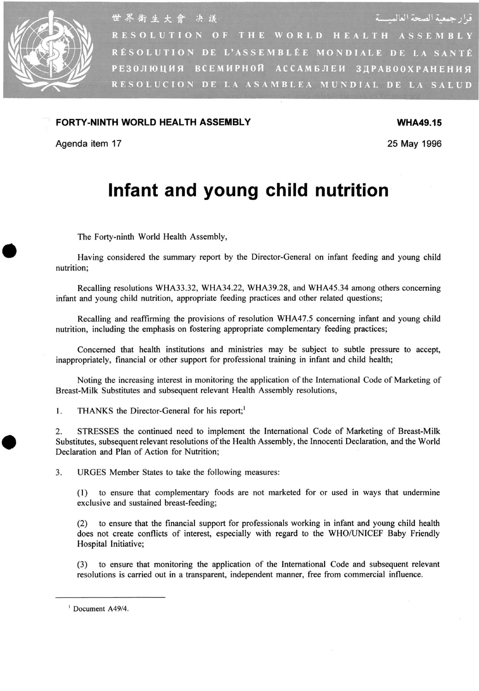

قرار جمعية الصحة العالميسة 世界衛生大會 决議 RESOLUTION OF THE WORLD HEALTH ASSEMBLY RÉSOLUTION DE L'ASSEMBLÉE MONDIALE DE LA SANTÉ РЕЗОЛЮЦИЯ ВСЕМИРНОЙ АССАМБЛЕИ ЗДРАВООХРАНЕНИЯ RESOLUCION DE LA ASAMBLEA MUNDIAL DE LA SALUD

## **FORTY-NINTH WORLD HEALTH ASSEMBLY WHA49.15**

Agenda item 17 25 May 1996

## **Infant and young child nutrition**

**The Forty-ninth World Health Assembly,** 

**Having considered the summary report by the Director-General on infant feeding and young child nutrition;** 

**Recalling resolutions WHA33.32, WHA34.22, WHA39.28, and WHA45.34 among others concerning infant and young child nutrition, appropriate feeding practices and other related questions;** 

**Recalling and reaffirming the provisions of resolution WHA47.5 concerning infant and young child nutrition, including the emphasis on fostering appropriate complementary feeding practices;** 

**Concerned that health institutions and ministries may be subject to subtle pressure to accept, inappropriately, financial or other support for professional training in infant and child health;** 

**Noting the increasing interest in monitoring the application of the International Code of Marketing of Breast-Milk Substitutes and subsequent relevant Health Assembly resolutions,** 

1. THANKS the Director-General for his report;<sup>1</sup>

**2. STRESSES the continued need to implement the International Code of Marketing of Breast-Milk Substitutes, subsequent relevant resolutions of the Health Assembly, the Innocenti Declaration, and the World Declaration and Plan of Action for Nutrition;** 

**3. URGE S Member States to take the following measures:** 

**(1) to ensure that complementary foods are not marketed for or used in ways that undermine exclusive and sustained breast-feeding;** 

**(2) to ensure that the financial support for professionals working in infant and young child health**  does not create conflicts of interest, especially with regard to the WHO/UNICEF Baby Friendly **Hospital Initiative;** 

**(3) to ensure that monitoring the application of the International Code and subsequent relevant resolutions is carried out in a transparent, independent manner, free from commercial influence.** 

<sup>1</sup> Document A49/4.